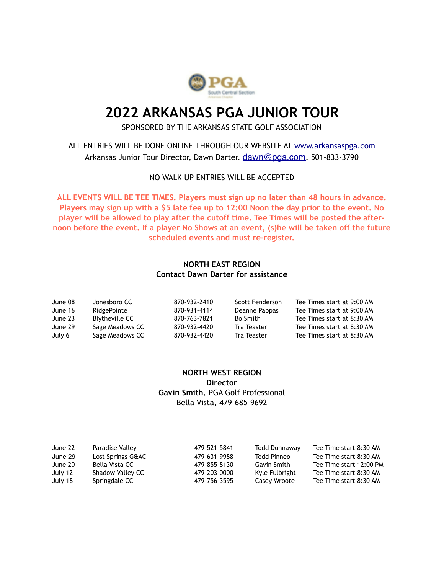

# **2022 ARKANSAS PGA JUNIOR TOUR**

SPONSORED BY THE ARKANSAS STATE GOLF ASSOCIATION

ALL ENTRIES WILL BE DONE ONLINE THROUGH OUR WEBSITE AT [www.arkansaspga.com](http://www.arkansaspga.com) Arkansas Junior Tour Director, Dawn Darter. [dawn@pga.com](mailto:dawn@pga.com). 501-833-3790

#### NO WALK UP ENTRIES WILL BE ACCEPTED

**ALL EVENTS WILL BE TEE TIMES. Players must sign up no later than 48 hours in advance. Players may sign up with a \$5 late fee up to 12:00 Noon the day prior to the event. No player will be allowed to play after the cutoff time. Tee Times will be posted the afternoon before the event. If a player No Shows at an event, (s)he will be taken off the future scheduled events and must re-register.**

## **NORTH EAST REGION Contact Dawn Darter for assistance**

| June 08 | Jonesboro CC    | 870-932-2410 | Scott Fenderson | Tee Times start at 9:00 AM |
|---------|-----------------|--------------|-----------------|----------------------------|
| June 16 | RidgePointe     | 870-931-4114 | Deanne Pappas   | Tee Times start at 9:00 AM |
| June 23 | Blytheville CC  | 870-763-7821 | Bo Smith        | Tee Times start at 8:30 AM |
| June 29 | Sage Meadows CC | 870-932-4420 | Tra Teaster     | Tee Times start at 8:30 AM |
| July 6  | Sage Meadows CC | 870-932-4420 | Tra Teaster     | Tee Times start at 8:30 AM |

## **NORTH WEST REGION Director Gavin Smith**, PGA Golf Professional Bella Vista, 479-685-9692

| June 22 | Paradise Valley   | 479-521-5841 | <b>Todd Dunnaway</b> | Tee Time start 8:30 AM  |
|---------|-------------------|--------------|----------------------|-------------------------|
| June 29 | Lost Springs G&AC | 479-631-9988 | Todd Pinneo          | Tee Time start 8:30 AM  |
| June 20 | Bella Vista CC    | 479-855-8130 | Gavin Smith          | Tee Time start 12:00 PM |
| July 12 | Shadow Valley CC  | 479-203-0000 | Kyle Fulbright       | Tee Time start 8:30 AM  |
| July 18 | Springdale CC     | 479-756-3595 | Casey Wroote         | Tee Time start 8:30 AM  |